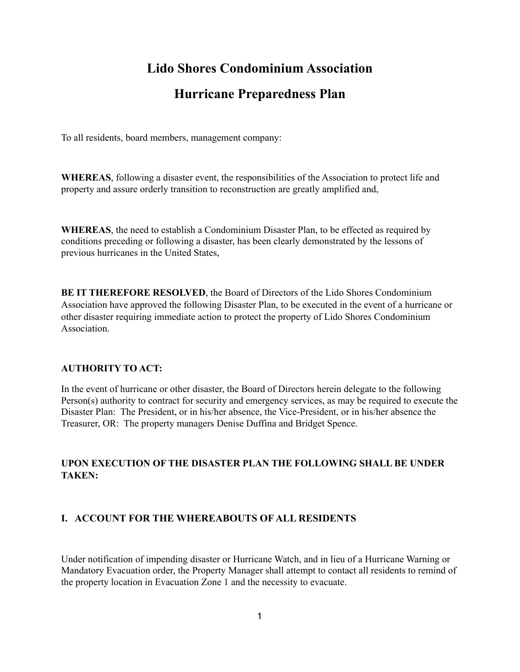# **Lido Shores Condominium Association**

## **Hurricane Preparedness Plan**

To all residents, board members, management company:

**WHEREAS**, following a disaster event, the responsibilities of the Association to protect life and property and assure orderly transition to reconstruction are greatly amplified and,

**WHEREAS**, the need to establish a Condominium Disaster Plan, to be effected as required by conditions preceding or following a disaster, has been clearly demonstrated by the lessons of previous hurricanes in the United States,

**BE IT THEREFORE RESOLVED**, the Board of Directors of the Lido Shores Condominium Association have approved the following Disaster Plan, to be executed in the event of a hurricane or other disaster requiring immediate action to protect the property of Lido Shores Condominium Association.

### **AUTHORITY TO ACT:**

In the event of hurricane or other disaster, the Board of Directors herein delegate to the following Person(s) authority to contract for security and emergency services, as may be required to execute the Disaster Plan: The President, or in his/her absence, the Vice-President, or in his/her absence the Treasurer, OR: The property managers Denise Duffina and Bridget Spence.

## **UPON EXECUTION OF THE DISASTER PLAN THE FOLLOWING SHALL BE UNDER TAKEN:**

### **I. ACCOUNT FOR THE WHEREABOUTS OF ALL RESIDENTS**

Under notification of impending disaster or Hurricane Watch, and in lieu of a Hurricane Warning or Mandatory Evacuation order, the Property Manager shall attempt to contact all residents to remind of the property location in Evacuation Zone 1 and the necessity to evacuate.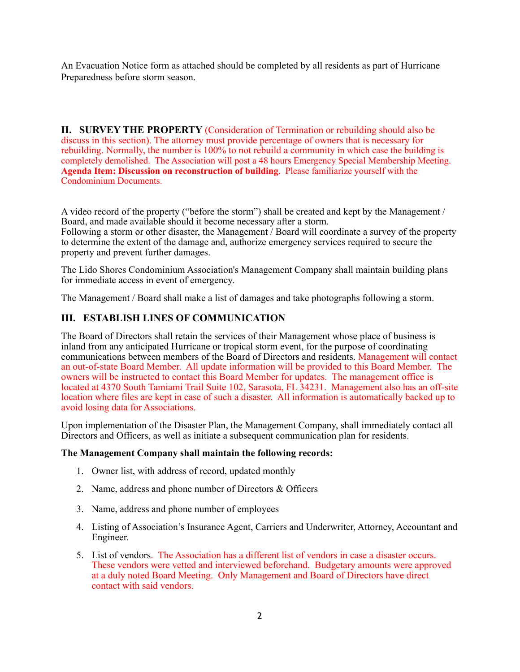An Evacuation Notice form as attached should be completed by all residents as part of Hurricane Preparedness before storm season.

**II. SURVEY THE PROPERTY** (Consideration of Termination or rebuilding should also be discuss in this section). The attorney must provide percentage of owners that is necessary for rebuilding. Normally, the number is 100% to not rebuild a community in which case the building is completely demolished. The Association will post a 48 hours Emergency Special Membership Meeting. **Agenda Item: Discussion on reconstruction of building**. Please familiarize yourself with the Condominium Documents.

A video record of the property ("before the storm") shall be created and kept by the Management / Board, and made available should it become necessary after a storm. Following a storm or other disaster, the Management / Board will coordinate a survey of the property to determine the extent of the damage and, authorize emergency services required to secure the property and prevent further damages.

The Lido Shores Condominium Association's Management Company shall maintain building plans for immediate access in event of emergency.

The Management / Board shall make a list of damages and take photographs following a storm.

### **III. ESTABLISH LINES OF COMMUNICATION**

The Board of Directors shall retain the services of their Management whose place of business is inland from any anticipated Hurricane or tropical storm event, for the purpose of coordinating communications between members of the Board of Directors and residents. Management will contact an out-of-state Board Member. All update information will be provided to this Board Member. The owners will be instructed to contact this Board Member for updates. The management office is located at 4370 South Tamiami Trail Suite 102, Sarasota, FL 34231. Management also has an off-site location where files are kept in case of such a disaster. All information is automatically backed up to avoid losing data for Associations.

Upon implementation of the Disaster Plan, the Management Company, shall immediately contact all Directors and Officers, as well as initiate a subsequent communication plan for residents.

#### **The Management Company shall maintain the following records:**

- 1. Owner list, with address of record, updated monthly
- 2. Name, address and phone number of Directors & Officers
- 3. Name, address and phone number of employees
- 4. Listing of Association's Insurance Agent, Carriers and Underwriter, Attorney, Accountant and Engineer.
- 5. List of vendors. The Association has a different list of vendors in case a disaster occurs. These vendors were vetted and interviewed beforehand. Budgetary amounts were approved at a duly noted Board Meeting. Only Management and Board of Directors have direct contact with said vendors.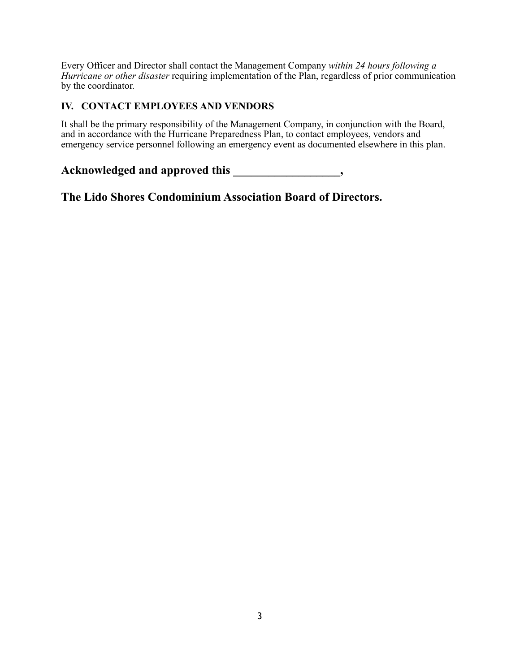Every Officer and Director shall contact the Management Company *within 24 hours following a Hurricane or other disaster* requiring implementation of the Plan, regardless of prior communication by the coordinator.

## **IV. CONTACT EMPLOYEES AND VENDORS**

It shall be the primary responsibility of the Management Company, in conjunction with the Board, and in accordance with the Hurricane Preparedness Plan, to contact employees, vendors and emergency service personnel following an emergency event as documented elsewhere in this plan.

Acknowledged and approved this \_\_\_\_\_\_\_\_\_\_\_\_\_\_\_\_,

**The Lido Shores Condominium Association Board of Directors.**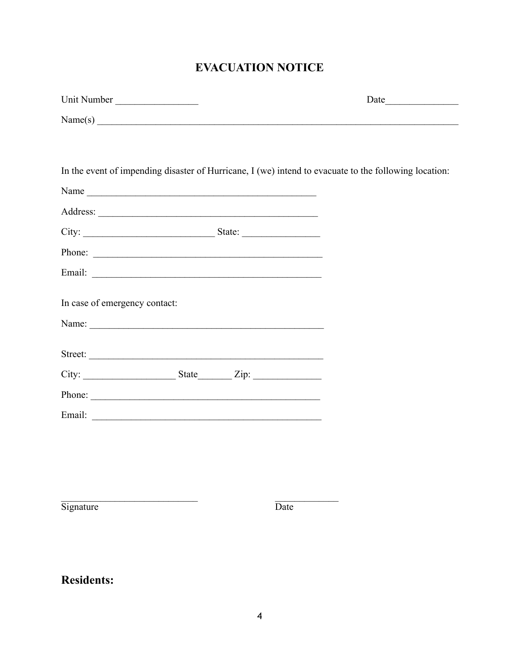# **EVACUATION NOTICE**

| Unit Number                   |  |      |                                                                                                       |
|-------------------------------|--|------|-------------------------------------------------------------------------------------------------------|
|                               |  |      | Name(s)                                                                                               |
|                               |  |      |                                                                                                       |
|                               |  |      | In the event of impending disaster of Hurricane, I (we) intend to evacuate to the following location: |
|                               |  |      |                                                                                                       |
|                               |  |      |                                                                                                       |
|                               |  |      |                                                                                                       |
| Phone:                        |  |      |                                                                                                       |
|                               |  |      |                                                                                                       |
| In case of emergency contact: |  |      |                                                                                                       |
| Street:                       |  |      |                                                                                                       |
| $City:$ State $Zip:$          |  |      |                                                                                                       |
|                               |  |      |                                                                                                       |
|                               |  |      |                                                                                                       |
|                               |  |      |                                                                                                       |
|                               |  |      |                                                                                                       |
|                               |  |      |                                                                                                       |
| Signature                     |  | Date |                                                                                                       |

**Residents:**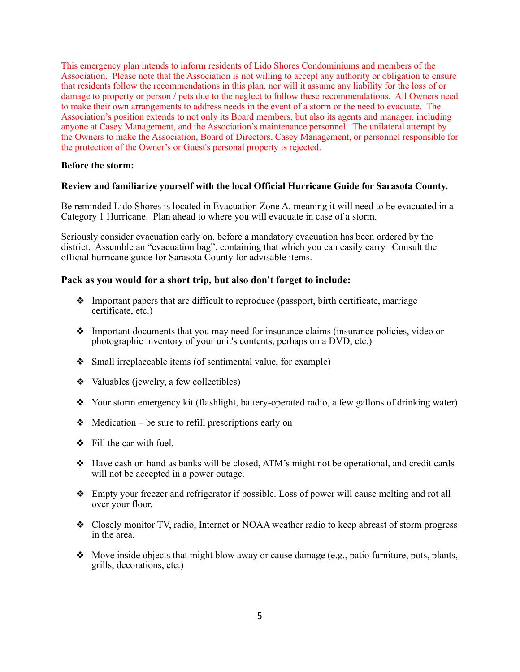This emergency plan intends to inform residents of Lido Shores Condominiums and members of the Association. Please note that the Association is not willing to accept any authority or obligation to ensure that residents follow the recommendations in this plan, nor will it assume any liability for the loss of or damage to property or person / pets due to the neglect to follow these recommendations. All Owners need to make their own arrangements to address needs in the event of a storm or the need to evacuate. The Association's position extends to not only its Board members, but also its agents and manager, including anyone at Casey Management, and the Association's maintenance personnel. The unilateral attempt by the Owners to make the Association, Board of Directors, Casey Management, or personnel responsible for the protection of the Owner's or Guest's personal property is rejected.

### **Before the storm:**

### **Review and familiarize yourself with the local Official Hurricane Guide for Sarasota County.**

Be reminded Lido Shores is located in Evacuation Zone A, meaning it will need to be evacuated in a Category 1 Hurricane. Plan ahead to where you will evacuate in case of a storm.

Seriously consider evacuation early on, before a mandatory evacuation has been ordered by the district. Assemble an "evacuation bag", containing that which you can easily carry. Consult the official hurricane guide for Sarasota County for advisable items.

### **Pack as you would for a short trip, but also don't forget to include:**

- ❖ Important papers that are difficult to reproduce (passport, birth certificate, marriage certificate, etc.)
- ❖ Important documents that you may need for insurance claims (insurance policies, video or photographic inventory of your unit's contents, perhaps on a DVD, etc.)
- ❖ Small irreplaceable items (of sentimental value, for example)
- ❖ Valuables (jewelry, a few collectibles)
- ❖ Your storm emergency kit (flashlight, battery-operated radio, a few gallons of drinking water)
- $\triangleleft$  Medication be sure to refill prescriptions early on
- $\div$  Fill the car with fuel.
- ❖ Have cash on hand as banks will be closed, ATM's might not be operational, and credit cards will not be accepted in a power outage.
- ❖ Empty your freezer and refrigerator if possible. Loss of power will cause melting and rot all over your floor.
- ❖ Closely monitor TV, radio, Internet or NOAA weather radio to keep abreast of storm progress in the area.
- ❖ Move inside objects that might blow away or cause damage (e.g., patio furniture, pots, plants, grills, decorations, etc.)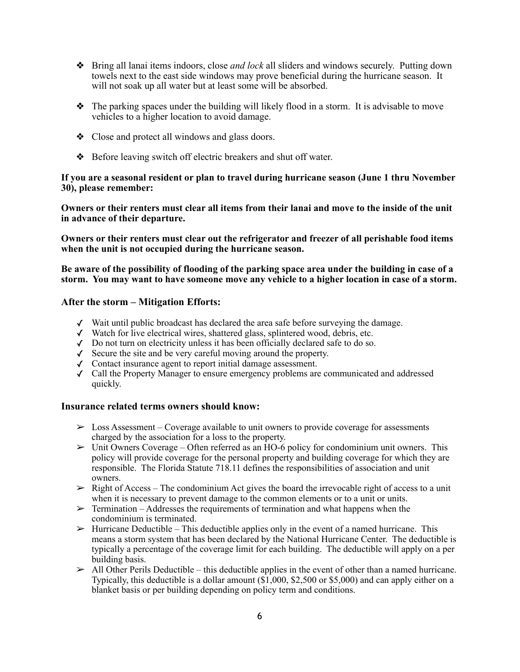- ❖ Bring all lanai items indoors, close *and lock* all sliders and windows securely. Putting down towels next to the east side windows may prove beneficial during the hurricane season. It will not soak up all water but at least some will be absorbed.
- $\triangle$  The parking spaces under the building will likely flood in a storm. It is advisable to move vehicles to a higher location to avoid damage.
- ❖ Close and protect all windows and glass doors.
- ❖ Before leaving switch off electric breakers and shut off water.

### **If you are a seasonal resident or plan to travel during hurricane season (June 1 thru November 30), please remember:**

**Owners or their renters must clear all items from their lanai and move to the inside of the unit in advance of their departure.** 

**Owners or their renters must clear out the refrigerator and freezer of all perishable food items when the unit is not occupied during the hurricane season.** 

**Be aware of the possibility of flooding of the parking space area under the building in case of a storm. You may want to have someone move any vehicle to a higher location in case of a storm.** 

#### **After the storm – Mitigation Efforts:**

- ✓ Wait until public broadcast has declared the area safe before surveying the damage.
- ✓ Watch for live electrical wires, shattered glass, splintered wood, debris, etc.
- ✓ Do not turn on electricity unless it has been officially declared safe to do so.
- ✓ Secure the site and be very careful moving around the property.
- ✓ Contact insurance agent to report initial damage assessment.
- ✓ Call the Property Manager to ensure emergency problems are communicated and addressed quickly.

### **Insurance related terms owners should know:**

- $\geq$  Loss Assessment Coverage available to unit owners to provide coverage for assessments charged by the association for a loss to the property.
- $\triangleright$  Unit Owners Coverage Often referred as an HO-6 policy for condominium unit owners. This policy will provide coverage for the personal property and building coverage for which they are responsible. The Florida Statute 718.11 defines the responsibilities of association and unit owners.
- $\triangleright$  Right of Access The condominium Act gives the board the irrevocable right of access to a unit when it is necessary to prevent damage to the common elements or to a unit or units.
- $\geq$  Termination Addresses the requirements of termination and what happens when the condominium is terminated.
- $\triangleright$  Hurricane Deductible This deductible applies only in the event of a named hurricane. This means a storm system that has been declared by the National Hurricane Center. The deductible is typically a percentage of the coverage limit for each building. The deductible will apply on a per building basis.
- $\triangleright$  All Other Perils Deductible this deductible applies in the event of other than a named hurricane. Typically, this deductible is a dollar amount (\$1,000, \$2,500 or \$5,000) and can apply either on a blanket basis or per building depending on policy term and conditions.